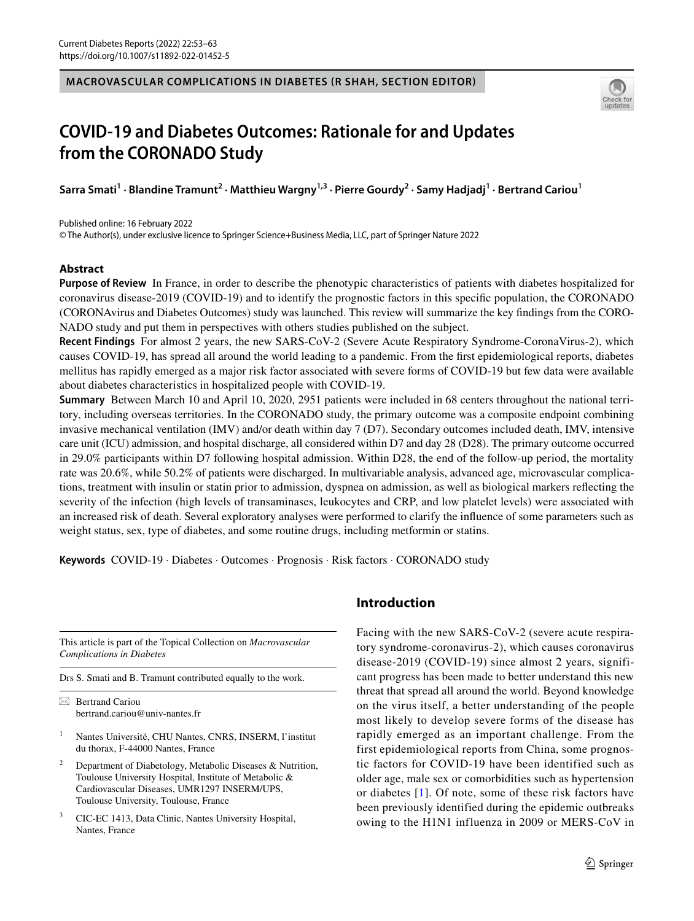## **MACROVASCULAR COMPLICATIONS IN DIABETES (R SHAH, SECTION EDITOR)**



# **COVID‑19 and Diabetes Outcomes: Rationale for and Updates from the CORONADO Study**

Sarra Smati<sup>1</sup> · Blandine Tramunt<sup>2</sup> · Matthieu Wargny<sup>1,3</sup> · Pierre Gourdy<sup>2</sup> · Samy Hadjadj<sup>1</sup> · Bertrand Cariou<sup>1</sup>

© The Author(s), under exclusive licence to Springer Science+Business Media, LLC, part of Springer Nature 2022 Published online: 16 February 2022

# **Abstract**

**Purpose of Review** In France, in order to describe the phenotypic characteristics of patients with diabetes hospitalized for coronavirus disease-2019 (COVID-19) and to identify the prognostic factors in this specifc population, the CORONADO (CORONAvirus and Diabetes Outcomes) study was launched. This review will summarize the key fndings from the CORO-NADO study and put them in perspectives with others studies published on the subject.

**Recent Findings** For almost 2 years, the new SARS-CoV-2 (Severe Acute Respiratory Syndrome-CoronaVirus-2), which causes COVID-19, has spread all around the world leading to a pandemic. From the frst epidemiological reports, diabetes mellitus has rapidly emerged as a major risk factor associated with severe forms of COVID-19 but few data were available about diabetes characteristics in hospitalized people with COVID-19.

**Summary** Between March 10 and April 10, 2020, 2951 patients were included in 68 centers throughout the national territory, including overseas territories. In the CORONADO study, the primary outcome was a composite endpoint combining invasive mechanical ventilation (IMV) and/or death within day 7 (D7). Secondary outcomes included death, IMV, intensive care unit (ICU) admission, and hospital discharge, all considered within D7 and day 28 (D28). The primary outcome occurred in 29.0% participants within D7 following hospital admission. Within D28, the end of the follow-up period, the mortality rate was 20.6%, while 50.2% of patients were discharged. In multivariable analysis, advanced age, microvascular complications, treatment with insulin or statin prior to admission, dyspnea on admission, as well as biological markers refecting the severity of the infection (high levels of transaminases, leukocytes and CRP, and low platelet levels) were associated with an increased risk of death. Several exploratory analyses were performed to clarify the infuence of some parameters such as weight status, sex, type of diabetes, and some routine drugs, including metformin or statins.

**Keywords** COVID-19 · Diabetes · Outcomes · Prognosis · Risk factors · CORONADO study

This article is part of the Topical Collection on *Macrovascular Complications in Diabetes*

Drs S. Smati and B. Tramunt contributed equally to the work.

 $\boxtimes$  Bertrand Cariou bertrand.cariou@univ-nantes.fr

- <sup>1</sup> Nantes Université, CHU Nantes, CNRS, INSERM, l'institut du thorax, F-44000 Nantes, France
- <sup>2</sup> Department of Diabetology, Metabolic Diseases & Nutrition, Toulouse University Hospital, Institute of Metabolic & Cardiovascular Diseases, UMR1297 INSERM/UPS, Toulouse University, Toulouse, France
- <sup>3</sup> CIC-EC 1413, Data Clinic, Nantes University Hospital, Nantes, France

# **Introduction**

Facing with the new SARS-CoV-2 (severe acute respiratory syndrome-coronavirus-2), which causes coronavirus disease-2019 (COVID-19) since almost 2 years, significant progress has been made to better understand this new threat that spread all around the world. Beyond knowledge on the virus itself, a better understanding of the people most likely to develop severe forms of the disease has rapidly emerged as an important challenge. From the first epidemiological reports from China, some prognostic factors for COVID-19 have been identified such as older age, male sex or comorbidities such as hypertension or diabetes [\[1\]](#page-8-0). Of note, some of these risk factors have been previously identified during the epidemic outbreaks owing to the H1N1 influenza in 2009 or MERS-CoV in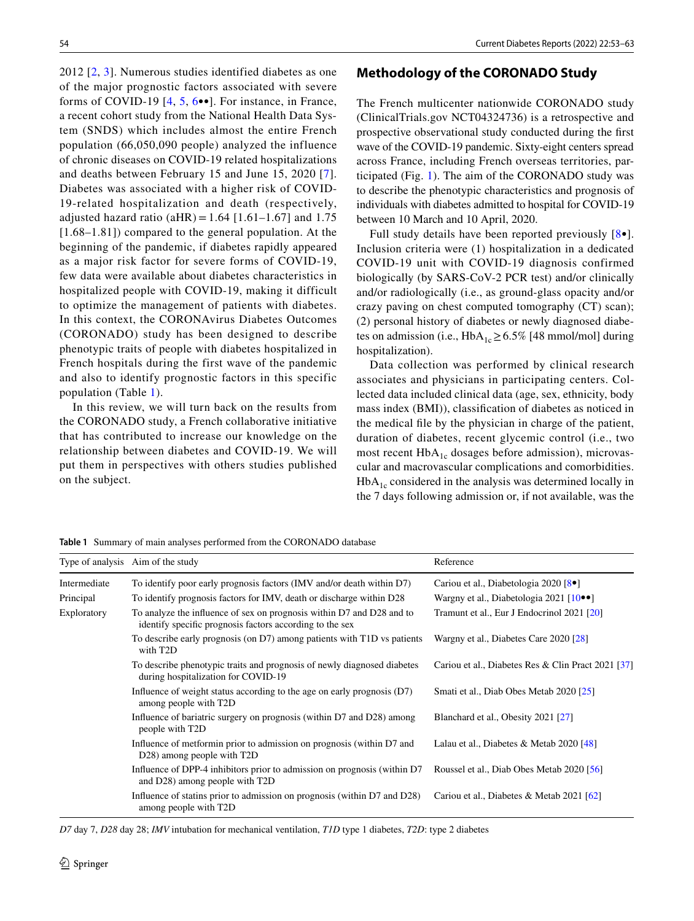2012 [\[2,](#page-8-1) [3](#page-8-2)]. Numerous studies identified diabetes as one of the major prognostic factors associated with severe forms of COVID-19 [[4](#page-8-3), [5](#page-8-4), [6](#page-8-5)••]. For instance, in France, a recent cohort study from the National Health Data System (SNDS) which includes almost the entire French population (66,050,090 people) analyzed the influence of chronic diseases on COVID-19 related hospitalizations and deaths between February 15 and June 15, 2020 [[7](#page-8-6)]. Diabetes was associated with a higher risk of COVID-19-related hospitalization and death (respectively, adjusted hazard ratio (aHR) =  $1.64$  [1.61–1.67] and 1.75 [1.68–1.81]) compared to the general population. At the beginning of the pandemic, if diabetes rapidly appeared as a major risk factor for severe forms of COVID-19, few data were available about diabetes characteristics in hospitalized people with COVID-19, making it difficult to optimize the management of patients with diabetes. In this context, the CORONAvirus Diabetes Outcomes (CORONADO) study has been designed to describe phenotypic traits of people with diabetes hospitalized in French hospitals during the first wave of the pandemic and also to identify prognostic factors in this specific population (Table [1](#page-1-0)).

In this review, we will turn back on the results from the CORONADO study, a French collaborative initiative that has contributed to increase our knowledge on the relationship between diabetes and COVID-19. We will put them in perspectives with others studies published on the subject.

# **Methodology of the CORONADO Study**

The French multicenter nationwide CORONADO study (ClinicalTrials.gov NCT04324736) is a retrospective and prospective observational study conducted during the frst wave of the COVID-19 pandemic. Sixty-eight centers spread across France, including French overseas territories, participated (Fig. [1\)](#page-2-0). The aim of the CORONADO study was to describe the phenotypic characteristics and prognosis of individuals with diabetes admitted to hospital for COVID-19 between 10 March and 10 April, 2020.

Full study details have been reported previously [\[8•](#page-8-7)]. Inclusion criteria were (1) hospitalization in a dedicated COVID-19 unit with COVID-19 diagnosis confirmed biologically (by SARS-CoV-2 PCR test) and/or clinically and/or radiologically (i.e., as ground-glass opacity and/or crazy paving on chest computed tomography (CT) scan); (2) personal history of diabetes or newly diagnosed diabetes on admission (i.e.,  $HbA_{1c} \geq 6.5\%$  [48 mmol/mol] during hospitalization).

Data collection was performed by clinical research associates and physicians in participating centers. Collected data included clinical data (age, sex, ethnicity, body mass index (BMI)), classifcation of diabetes as noticed in the medical fle by the physician in charge of the patient, duration of diabetes, recent glycemic control (i.e., two most recent  $HbA_{1c}$  dosages before admission), microvascular and macrovascular complications and comorbidities.  $HbA<sub>1c</sub>$  considered in the analysis was determined locally in the 7 days following admission or, if not available, was the

<span id="page-1-0"></span>**Table 1** Summary of main analyses performed from the CORONADO database

|              | Type of analysis Aim of the study                                                                                                 | Reference                                             |
|--------------|-----------------------------------------------------------------------------------------------------------------------------------|-------------------------------------------------------|
| Intermediate | To identify poor early prognosis factors (IMV and/or death within D7)                                                             | Cariou et al., Diabetologia 2020 [8.]                 |
| Principal    | To identify prognosis factors for IMV, death or discharge within D28                                                              | Wargny et al., Diabetologia 2021 $[10\bullet\bullet]$ |
| Exploratory  | To analyze the influence of sex on prognosis within D7 and D28 and to<br>identify specific prognosis factors according to the sex | Tramunt et al., Eur J Endocrinol 2021 [20]            |
|              | To describe early prognosis (on D7) among patients with T1D vs patients<br>with T2D                                               | Wargny et al., Diabetes Care 2020 [28]                |
|              | To describe phenotypic traits and prognosis of newly diagnosed diabetes<br>during hospitalization for COVID-19                    | Cariou et al., Diabetes Res & Clin Pract 2021 [37]    |
|              | Influence of weight status according to the age on early prognosis $(D7)$<br>among people with T2D                                | Smati et al., Diab Obes Metab 2020 [25]               |
|              | Influence of bariatric surgery on prognosis (within D7 and D28) among<br>people with T2D                                          | Blanchard et al., Obesity 2021 [27]                   |
|              | Influence of metformin prior to admission on prognosis (within D7 and<br>D28) among people with T2D                               | Lalau et al., Diabetes & Metab $2020$ [48]            |
|              | Influence of DPP-4 inhibitors prior to admission on prognosis (within D7<br>and D28) among people with T2D                        | Roussel et al., Diab Obes Metab 2020 [56]             |
|              | Influence of stating prior to admission on prognosis (within D7 and D28)<br>among people with T2D                                 | Cariou et al., Diabetes & Metab 2021 [62]             |

*D7* day 7, *D28* day 28; *IMV* intubation for mechanical ventilation, *T1D* type 1 diabetes, *T2D*: type 2 diabetes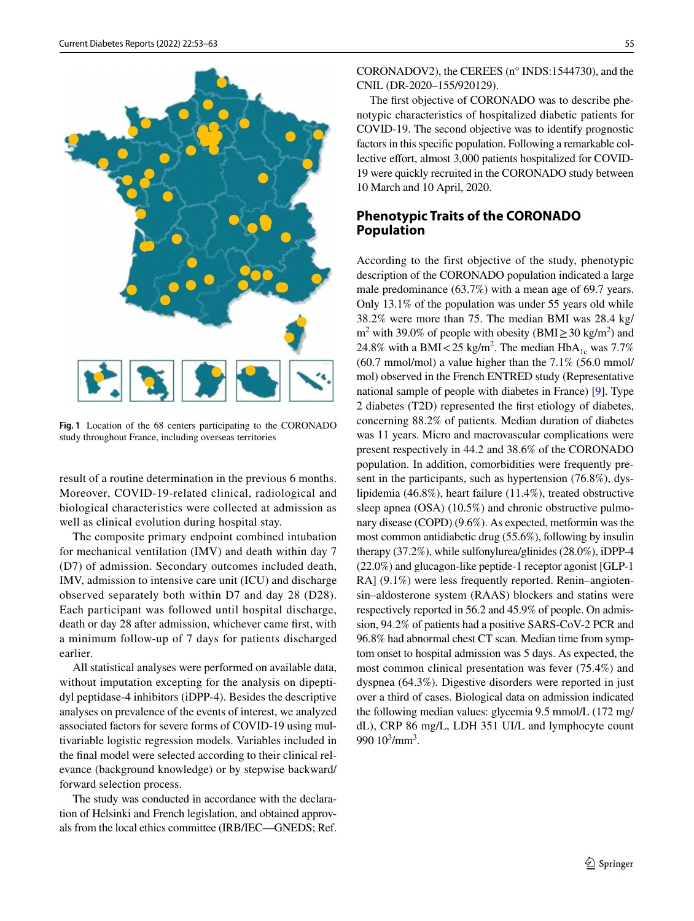

<span id="page-2-0"></span>**Fig. 1** Location of the 68 centers participating to the CORONADO study throughout France, including overseas territories

result of a routine determination in the previous 6 months. Moreover, COVID-19-related clinical, radiological and biological characteristics were collected at admission as well as clinical evolution during hospital stay.

The composite primary endpoint combined intubation for mechanical ventilation (IMV) and death within day 7 (D7) of admission. Secondary outcomes included death, IMV, admission to intensive care unit (ICU) and discharge observed separately both within D7 and day 28 (D28). Each participant was followed until hospital discharge, death or day 28 after admission, whichever came frst, with a minimum follow-up of 7 days for patients discharged earlier.

All statistical analyses were performed on available data, without imputation excepting for the analysis on dipeptidyl peptidase-4 inhibitors (iDPP-4). Besides the descriptive analyses on prevalence of the events of interest, we analyzed associated factors for severe forms of COVID-19 using multivariable logistic regression models. Variables included in the fnal model were selected according to their clinical relevance (background knowledge) or by stepwise backward/ forward selection process.

The study was conducted in accordance with the declaration of Helsinki and French legislation, and obtained approvals from the local ethics committee (IRB/IEC—GNEDS; Ref. CORONADOV2), the CEREES (n° INDS:1544730), and the CNIL (DR-2020–155/920129).

The frst objective of CORONADO was to describe phenotypic characteristics of hospitalized diabetic patients for COVID-19. The second objective was to identify prognostic factors in this specifc population. Following a remarkable collective effort, almost 3,000 patients hospitalized for COVID-19 were quickly recruited in the CORONADO study between 10 March and 10 April, 2020.

# **Phenotypic Traits of the CORONADO Population**

According to the first objective of the study, phenotypic description of the CORONADO population indicated a large male predominance (63.7%) with a mean age of 69.7 years. Only 13.1% of the population was under 55 years old while 38.2% were more than 75. The median BMI was 28.4 kg/ m<sup>2</sup> with 39.0% of people with obesity (BMI $\geq$  30 kg/m<sup>2</sup>) and 24.8% with a BMI < 25 kg/m<sup>2</sup>. The median  $HbA_{1c}$  was 7.7% (60.7 mmol/mol) a value higher than the 7.1% (56.0 mmol/ mol) observed in the French ENTRED study (Representative national sample of people with diabetes in France) [\[9](#page-8-9)]. Type 2 diabetes (T2D) represented the frst etiology of diabetes, concerning 88.2% of patients. Median duration of diabetes was 11 years. Micro and macrovascular complications were present respectively in 44.2 and 38.6% of the CORONADO population. In addition, comorbidities were frequently present in the participants, such as hypertension (76.8%), dyslipidemia (46.8%), heart failure (11.4%), treated obstructive sleep apnea (OSA) (10.5%) and chronic obstructive pulmonary disease (COPD) (9.6%). As expected, metformin was the most common antidiabetic drug (55.6%), following by insulin therapy (37.2%), while sulfonylurea/glinides (28.0%), iDPP-4 (22.0%) and glucagon-like peptide-1 receptor agonist [GLP-1 RA] (9.1%) were less frequently reported. Renin–angiotensin–aldosterone system (RAAS) blockers and statins were respectively reported in 56.2 and 45.9% of people. On admission, 94.2% of patients had a positive SARS-CoV-2 PCR and 96.8% had abnormal chest CT scan. Median time from symptom onset to hospital admission was 5 days. As expected, the most common clinical presentation was fever (75.4%) and dyspnea (64.3%). Digestive disorders were reported in just over a third of cases. Biological data on admission indicated the following median values: glycemia 9.5 mmol/L (172 mg/ dL), CRP 86 mg/L, LDH 351 UI/L and lymphocyte count 990  $10^3/\text{mm}^3$ .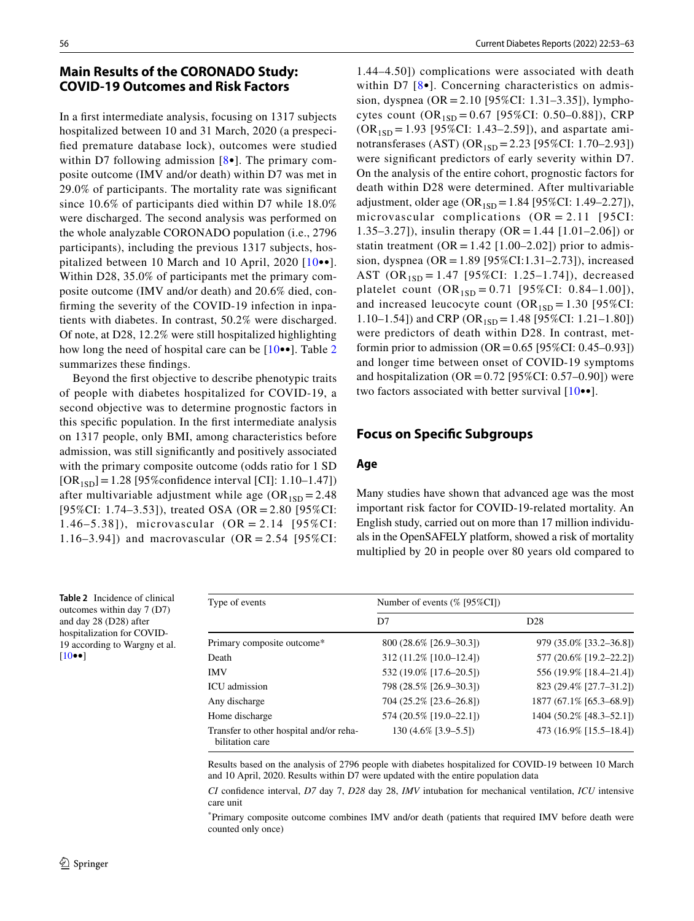# **Main Results of the CORONADO Study: COVID‑19 Outcomes and Risk Factors**

In a frst intermediate analysis, focusing on 1317 subjects hospitalized between 10 and 31 March, 2020 (a prespecifed premature database lock), outcomes were studied within D7 following admission  $[8 \bullet]$ . The primary composite outcome (IMV and/or death) within D7 was met in 29.0% of participants. The mortality rate was signifcant since 10.6% of participants died within D7 while 18.0% were discharged. The second analysis was performed on the whole analyzable CORONADO population (i.e., 2796 participants), including the previous 1317 subjects, hospitalized between 10 March and 10 April, 2020 [[10•](#page-8-8)•]. Within D28, 35.0% of participants met the primary composite outcome (IMV and/or death) and 20.6% died, confrming the severity of the COVID-19 infection in inpatients with diabetes. In contrast, 50.2% were discharged. Of note, at D28, 12.2% were still hospitalized highlighting how long the need of hospital care can be [[10](#page-8-8)••]. Table [2](#page-3-0) summarizes these fndings.

Beyond the frst objective to describe phenotypic traits of people with diabetes hospitalized for COVID-19, a second objective was to determine prognostic factors in this specifc population. In the frst intermediate analysis on 1317 people, only BMI, among characteristics before admission, was still signifcantly and positively associated with the primary composite outcome (odds ratio for 1 SD  $[OR_{1SD}] = 1.28 [95\% \text{confidence interval } [CI]: 1.10-1.47]$ after multivariable adjustment while age  $(OR_{1SD} = 2.48)$ [95%CI: 1.74–3.53]), treated OSA (OR = 2.80 [95%CI: 1.46–5.38]), microvascular (OR = 2.14 [95%CI: 1.16–3.94]) and macrovascular  $(OR = 2.54 [95\% CI:$ 

1.44–4.50]) complications were associated with death within D7  $[8\bullet]$ . Concerning characteristics on admission, dyspnea (OR = 2.10 [95%CI: 1.31–3.35]), lymphocytes count  $(OR_{1SD} = 0.67 \,[95\% CI: 0.50-0.88])$ , CRP  $(OR_{1SD} = 1.93 [95\% CI: 1.43-2.59])$ , and aspartate aminotransferases (AST) (OR<sub>1SD</sub> = 2.23 [95%CI: 1.70–2.93]) were signifcant predictors of early severity within D7. On the analysis of the entire cohort, prognostic factors for death within D28 were determined. After multivariable adjustment, older age  $(OR_{1SD} = 1.84 [95\% CI: 1.49-2.27]),$ microvascular complications  $(OR = 2.11$  [95CI: 1.35–3.27]), insulin therapy (OR = 1.44 [1.01–2.06]) or statin treatment ( $OR = 1.42$  [1.00–2.02]) prior to admission, dyspnea (OR = 1.89 [95%CI:1.31–2.73]), increased AST  $(OR_{1SD} = 1.47 \, [95\% CI: 1.25-1.74])$ , decreased platelet count  $(OR_{1SD} = 0.71 [95\% CI: 0.84-1.00]),$ and increased leucocyte count  $(OR<sub>1SD</sub> = 1.30]$  [95%CI: 1.10–1.54]) and CRP (OR<sub>1SD</sub> = 1.48 [95%CI: 1.21–1.80]) were predictors of death within D28. In contrast, metformin prior to admission  $(OR = 0.65 [95\% CI: 0.45-0.93])$ and longer time between onset of COVID-19 symptoms and hospitalization (OR =  $0.72$  [95%CI: 0.57–0.90]) were two factors associated with better survival [[10](#page-8-8)••].

# **Focus on Specifc Subgroups**

## **Age**

Many studies have shown that advanced age was the most important risk factor for COVID-19-related mortality. An English study, carried out on more than 17 million individuals in the OpenSAFELY platform, showed a risk of mortality multiplied by 20 in people over 80 years old compared to

| Type of events                                             | Number of events (% [95%CI]) |                          |  |
|------------------------------------------------------------|------------------------------|--------------------------|--|
|                                                            | D7                           | D <sub>28</sub>          |  |
| Primary composite outcome*                                 | 800 (28.6% [26.9–30.3])      | 979 (35.0% [33.2–36.8])  |  |
| Death                                                      | 312 (11.2% [10.0-12.4])      | 577 (20.6% [19.2-22.2])  |  |
| <b>IMV</b>                                                 | 532 (19.0% [17.6–20.5])      | 556 (19.9% [18.4–21.4])  |  |
| <b>ICU</b> admission                                       | 798 (28.5% [26.9–30.3])      | 823 (29.4% [27.7-31.2])  |  |
| Any discharge                                              | 704 (25.2% [23.6–26.8])      | 1877 (67.1% [65.3–68.9]) |  |
| Home discharge                                             | 574 (20.5% [19.0-22.1])      | 1404 (50.2% [48.3-52.1]) |  |
| Transfer to other hospital and/or reha-<br>bilitation care | 130 (4.6% [3.9–5.5])         | 473 (16.9% [15.5–18.4])  |  |

Results based on the analysis of 2796 people with diabetes hospitalized for COVID-19 between 10 March and 10 April, 2020. Results within D7 were updated with the entire population data

*CI* confdence interval, *D7* day 7, *D28* day 28, *IMV* intubation for mechanical ventilation, *ICU* intensive care unit

\* Primary composite outcome combines IMV and/or death (patients that required IMV before death were counted only once)

<span id="page-3-0"></span>**Table 2** Incidence of clinical outcomes within day 7 (D7) and day 28 (D28) after hospitalization for COVID-19 according to Wargny et al. [[10](#page-8-8)••]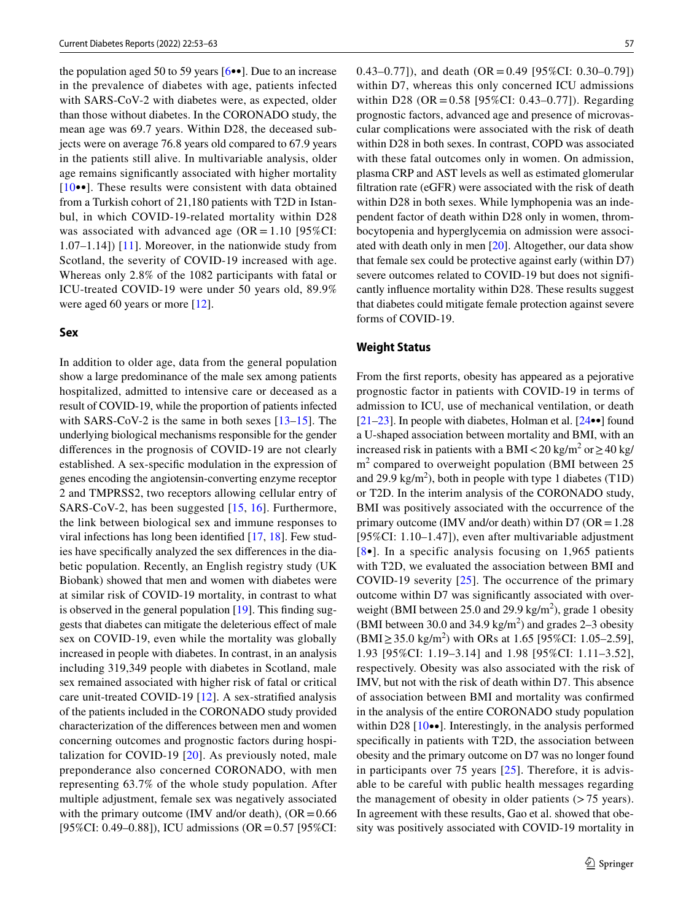the population aged 50 to 59 years [\[6](#page-8-5)••]. Due to an increase in the prevalence of diabetes with age, patients infected with SARS-CoV-2 with diabetes were, as expected, older than those without diabetes. In the CORONADO study, the mean age was 69.7 years. Within D28, the deceased subjects were on average 76.8 years old compared to 67.9 years in the patients still alive. In multivariable analysis, older age remains signifcantly associated with higher mortality [[10•](#page-8-8)•]. These results were consistent with data obtained from a Turkish cohort of 21,180 patients with T2D in Istanbul, in which COVID-19-related mortality within D28 was associated with advanced age  $(OR = 1.10 \text{ [95%CI:}$ 1.07–1.14]) [\[11\]](#page-8-10). Moreover, in the nationwide study from Scotland, the severity of COVID-19 increased with age. Whereas only 2.8% of the 1082 participants with fatal or ICU-treated COVID-19 were under 50 years old, 89.9% were aged 60 years or more [[12\]](#page-9-5).

#### **Sex**

In addition to older age, data from the general population show a large predominance of the male sex among patients hospitalized, admitted to intensive care or deceased as a result of COVID-19, while the proportion of patients infected with SARS-CoV-2 is the same in both sexes [[13](#page-9-6)[–15\]](#page-9-7). The underlying biological mechanisms responsible for the gender diferences in the prognosis of COVID-19 are not clearly established. A sex-specifc modulation in the expression of genes encoding the angiotensin-converting enzyme receptor 2 and TMPRSS2, two receptors allowing cellular entry of SARS-CoV-2, has been suggested [\[15](#page-9-7), [16](#page-9-8)]. Furthermore, the link between biological sex and immune responses to viral infections has long been identifed [[17](#page-9-9), [18](#page-9-10)]. Few studies have specifcally analyzed the sex diferences in the diabetic population. Recently, an English registry study (UK Biobank) showed that men and women with diabetes were at similar risk of COVID-19 mortality, in contrast to what is observed in the general population [\[19](#page-9-11)]. This fnding suggests that diabetes can mitigate the deleterious efect of male sex on COVID-19, even while the mortality was globally increased in people with diabetes. In contrast, in an analysis including 319,349 people with diabetes in Scotland, male sex remained associated with higher risk of fatal or critical care unit-treated COVID-19 [\[12](#page-9-5)]. A sex-stratifed analysis of the patients included in the CORONADO study provided characterization of the diferences between men and women concerning outcomes and prognostic factors during hospitalization for COVID-19 [\[20\]](#page-9-0). As previously noted, male preponderance also concerned CORONADO, with men representing 63.7% of the whole study population. After multiple adjustment, female sex was negatively associated with the primary outcome (IMV and/or death),  $(OR = 0.66$ [95%CI: 0.49–0.88]), ICU admissions (OR=0.57 [95%CI: 0.43–0.77]), and death (OR = 0.49 [95%CI: 0.30–0.79]) within D7, whereas this only concerned ICU admissions within D28 (OR =  $0.58$  [95%CI: 0.43–0.77]). Regarding prognostic factors, advanced age and presence of microvascular complications were associated with the risk of death within D28 in both sexes. In contrast, COPD was associated with these fatal outcomes only in women. On admission, plasma CRP and AST levels as well as estimated glomerular fltration rate (eGFR) were associated with the risk of death within D28 in both sexes. While lymphopenia was an independent factor of death within D28 only in women, thrombocytopenia and hyperglycemia on admission were associated with death only in men [[20\]](#page-9-0). Altogether, our data show that female sex could be protective against early (within D7) severe outcomes related to COVID-19 but does not significantly infuence mortality within D28. These results suggest that diabetes could mitigate female protection against severe forms of COVID-19.

# **Weight Status**

From the frst reports, obesity has appeared as a pejorative prognostic factor in patients with COVID-19 in terms of admission to ICU, use of mechanical ventilation, or death [\[21](#page-9-12)[–23](#page-9-13)]. In people with diabetes, Holman et al. [\[24](#page-9-14)••] found a U-shaped association between mortality and BMI, with an increased risk in patients with a BMI < 20 kg/m<sup>2</sup> or ≥ 40 kg/  $m<sup>2</sup>$  compared to overweight population (BMI between 25 and 29.9 kg/m<sup>2</sup>), both in people with type 1 diabetes (T1D) or T2D. In the interim analysis of the CORONADO study, BMI was positively associated with the occurrence of the primary outcome (IMV and/or death) within  $D7$  (OR = 1.28) [95%CI: 1.10–1.47]), even after multivariable adjustment  $[8\bullet]$  $[8\bullet]$  $[8\bullet]$ . In a specific analysis focusing on 1,965 patients with T2D, we evaluated the association between BMI and COVID-19 severity  $[25]$  $[25]$  $[25]$ . The occurrence of the primary outcome within D7 was signifcantly associated with overweight (BMI between 25.0 and 29.9 kg/m<sup>2</sup>), grade 1 obesity (BMI between 30.0 and 34.9 kg/m<sup>2</sup>) and grades 2–3 obesity  $(BMI \ge 35.0 \text{ kg/m}^2)$  with ORs at 1.65 [95%CI: 1.05–2.59], 1.93 [95%CI: 1.19–3.14] and 1.98 [95%CI: 1.11–3.52], respectively. Obesity was also associated with the risk of IMV, but not with the risk of death within D7. This absence of association between BMI and mortality was confrmed in the analysis of the entire CORONADO study population within D28  $[10\bullet\bullet]$  $[10\bullet\bullet]$ . Interestingly, in the analysis performed specifically in patients with T2D, the association between obesity and the primary outcome on D7 was no longer found in participants over 75 years [[25\]](#page-9-3). Therefore, it is advisable to be careful with public health messages regarding the management of obesity in older patients  $($ >75 years). In agreement with these results, Gao et al. showed that obesity was positively associated with COVID-19 mortality in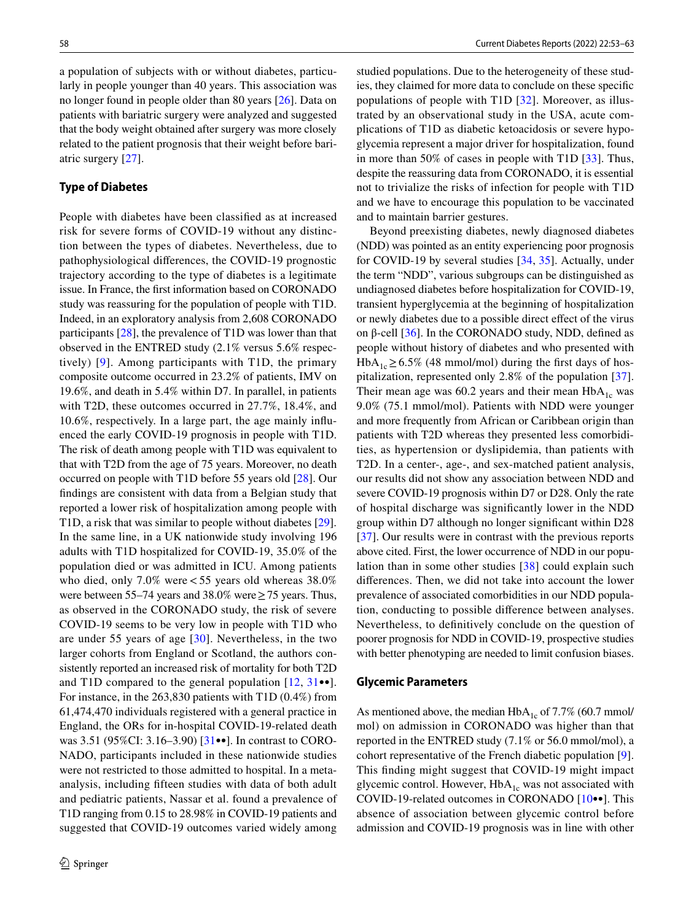a population of subjects with or without diabetes, particularly in people younger than 40 years. This association was no longer found in people older than 80 years [\[26](#page-9-15)]. Data on patients with bariatric surgery were analyzed and suggested that the body weight obtained after surgery was more closely related to the patient prognosis that their weight before bariatric surgery [[27\]](#page-9-4).

#### **Type of Diabetes**

People with diabetes have been classifed as at increased risk for severe forms of COVID-19 without any distinction between the types of diabetes. Nevertheless, due to pathophysiological diferences, the COVID-19 prognostic trajectory according to the type of diabetes is a legitimate issue. In France, the frst information based on CORONADO study was reassuring for the population of people with T1D. Indeed, in an exploratory analysis from 2,608 CORONADO participants [\[28](#page-9-1)], the prevalence of T1D was lower than that observed in the ENTRED study (2.1% versus 5.6% respectively) [[9](#page-8-9)]. Among participants with T1D, the primary composite outcome occurred in 23.2% of patients, IMV on 19.6%, and death in 5.4% within D7. In parallel, in patients with T2D, these outcomes occurred in 27.7%, 18.4%, and 10.6%, respectively. In a large part, the age mainly infuenced the early COVID-19 prognosis in people with T1D. The risk of death among people with T1D was equivalent to that with T2D from the age of 75 years. Moreover, no death occurred on people with T1D before 55 years old [\[28](#page-9-1)]. Our fndings are consistent with data from a Belgian study that reported a lower risk of hospitalization among people with T1D, a risk that was similar to people without diabetes [\[29](#page-9-16)]. In the same line, in a UK nationwide study involving 196 adults with T1D hospitalized for COVID-19, 35.0% of the population died or was admitted in ICU. Among patients who died, only 7.0% were<55 years old whereas 38.0% were between 55–74 years and 38.0% were  $\geq$  75 years. Thus, as observed in the CORONADO study, the risk of severe COVID-19 seems to be very low in people with T1D who are under 55 years of age [\[30\]](#page-9-17). Nevertheless, in the two larger cohorts from England or Scotland, the authors consistently reported an increased risk of mortality for both T2D and T1D compared to the general population  $[12, 31 \bullet ]$  $[12, 31 \bullet ]$ . For instance, in the 263,830 patients with T1D (0.4%) from 61,474,470 individuals registered with a general practice in England, the ORs for in-hospital COVID-19-related death was 3.51 (95%CI: 3.16–3.90) [\[31](#page-9-18)••]. In contrast to CORO-NADO, participants included in these nationwide studies were not restricted to those admitted to hospital. In a metaanalysis, including ffteen studies with data of both adult and pediatric patients, Nassar et al. found a prevalence of T1D ranging from 0.15 to 28.98% in COVID-19 patients and suggested that COVID-19 outcomes varied widely among

studied populations. Due to the heterogeneity of these studies, they claimed for more data to conclude on these specifc populations of people with T1D [\[32\]](#page-9-19). Moreover, as illustrated by an observational study in the USA, acute complications of T1D as diabetic ketoacidosis or severe hypoglycemia represent a major driver for hospitalization, found in more than 50% of cases in people with T1D [[33\]](#page-9-20). Thus, despite the reassuring data from CORONADO, it is essential not to trivialize the risks of infection for people with T1D and we have to encourage this population to be vaccinated and to maintain barrier gestures.

Beyond preexisting diabetes, newly diagnosed diabetes (NDD) was pointed as an entity experiencing poor prognosis for COVID-19 by several studies [\[34](#page-9-21), [35\]](#page-9-22). Actually, under the term "NDD", various subgroups can be distinguished as undiagnosed diabetes before hospitalization for COVID-19, transient hyperglycemia at the beginning of hospitalization or newly diabetes due to a possible direct efect of the virus on β-cell  $[36]$ . In the CORONADO study, NDD, defined as people without history of diabetes and who presented with HbA<sub>1c</sub>≥6.5% (48 mmol/mol) during the first days of hospitalization, represented only 2.8% of the population [\[37](#page-9-2)]. Their mean age was 60.2 years and their mean  $HbA_{1c}$  was 9.0% (75.1 mmol/mol). Patients with NDD were younger and more frequently from African or Caribbean origin than patients with T2D whereas they presented less comorbidities, as hypertension or dyslipidemia, than patients with T2D. In a center-, age-, and sex-matched patient analysis, our results did not show any association between NDD and severe COVID-19 prognosis within D7 or D28. Only the rate of hospital discharge was signifcantly lower in the NDD group within D7 although no longer signifcant within D28 [[37\]](#page-9-2). Our results were in contrast with the previous reports above cited. First, the lower occurrence of NDD in our population than in some other studies [\[38\]](#page-9-24) could explain such diferences. Then, we did not take into account the lower prevalence of associated comorbidities in our NDD population, conducting to possible diference between analyses. Nevertheless, to defnitively conclude on the question of poorer prognosis for NDD in COVID-19, prospective studies with better phenotyping are needed to limit confusion biases.

#### **Glycemic Parameters**

As mentioned above, the median  $HbA_{1c}$  of 7.7% (60.7 mmol/ mol) on admission in CORONADO was higher than that reported in the ENTRED study (7.1% or 56.0 mmol/mol), a cohort representative of the French diabetic population [\[9](#page-8-9)]. This fnding might suggest that COVID-19 might impact glycemic control. However,  $HbA_{1c}$  was not associated with COVID-19-related outcomes in CORONADO [[10•](#page-8-8)•]. This absence of association between glycemic control before admission and COVID-19 prognosis was in line with other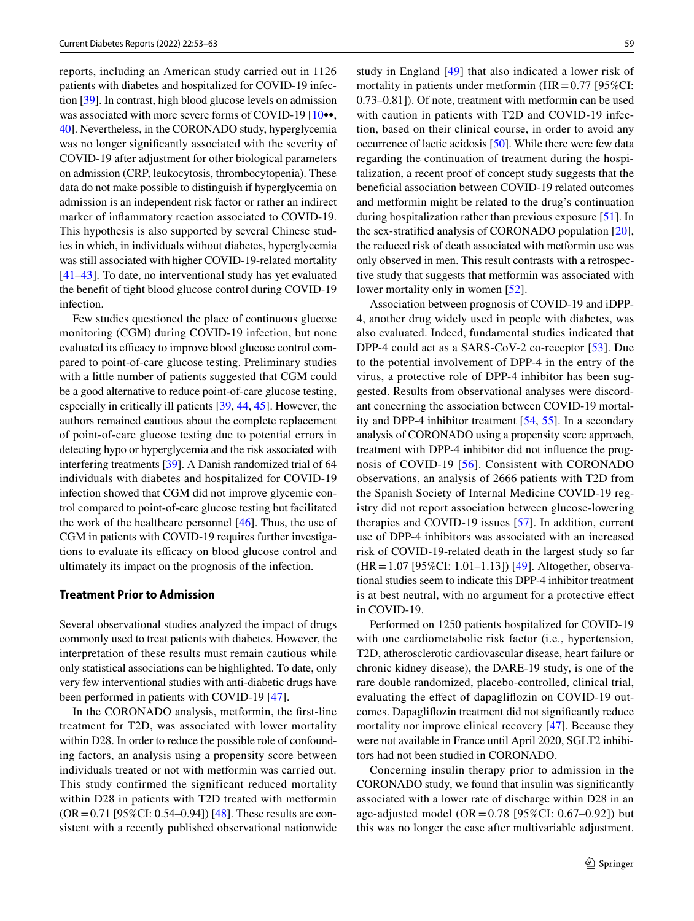reports, including an American study carried out in 1126 patients with diabetes and hospitalized for COVID-19 infection [[39\]](#page-9-25). In contrast, high blood glucose levels on admission was associated with more severe forms of COVID-19 [10.00] [40\]](#page-9-26). Nevertheless, in the CORONADO study, hyperglycemia was no longer signifcantly associated with the severity of COVID-19 after adjustment for other biological parameters on admission (CRP, leukocytosis, thrombocytopenia). These data do not make possible to distinguish if hyperglycemia on admission is an independent risk factor or rather an indirect marker of infammatory reaction associated to COVID-19. This hypothesis is also supported by several Chinese studies in which, in individuals without diabetes, hyperglycemia was still associated with higher COVID-19-related mortality [\[41–](#page-10-3)[43\]](#page-10-4). To date, no interventional study has yet evaluated the beneft of tight blood glucose control during COVID-19 infection.

Few studies questioned the place of continuous glucose monitoring (CGM) during COVID-19 infection, but none evaluated its efficacy to improve blood glucose control compared to point-of-care glucose testing. Preliminary studies with a little number of patients suggested that CGM could be a good alternative to reduce point-of-care glucose testing, especially in critically ill patients [[39,](#page-9-25) [44](#page-10-5), [45](#page-10-6)]. However, the authors remained cautious about the complete replacement of point-of-care glucose testing due to potential errors in detecting hypo or hyperglycemia and the risk associated with interfering treatments [[39\]](#page-9-25). A Danish randomized trial of 64 individuals with diabetes and hospitalized for COVID-19 infection showed that CGM did not improve glycemic control compared to point-of-care glucose testing but facilitated the work of the healthcare personnel [\[46](#page-10-7)]. Thus, the use of CGM in patients with COVID-19 requires further investigations to evaluate its efficacy on blood glucose control and ultimately its impact on the prognosis of the infection.

#### **Treatment Prior to Admission**

Several observational studies analyzed the impact of drugs commonly used to treat patients with diabetes. However, the interpretation of these results must remain cautious while only statistical associations can be highlighted. To date, only very few interventional studies with anti-diabetic drugs have been performed in patients with COVID-19 [[47\]](#page-10-8).

In the CORONADO analysis, metformin, the frst-line treatment for T2D, was associated with lower mortality within D28. In order to reduce the possible role of confounding factors, an analysis using a propensity score between individuals treated or not with metformin was carried out. This study confirmed the significant reduced mortality within D28 in patients with T2D treated with metformin  $(OR = 0.71$  [95%CI: 0.54–0.94]) [[48\]](#page-10-0). These results are consistent with a recently published observational nationwide study in England [[49\]](#page-10-9) that also indicated a lower risk of mortality in patients under metformin  $(HR = 0.77 \, [95\%CI:$ 0.73–0.81]). Of note, treatment with metformin can be used with caution in patients with T2D and COVID-19 infection, based on their clinical course, in order to avoid any occurrence of lactic acidosis [\[50](#page-10-10)]. While there were few data regarding the continuation of treatment during the hospitalization, a recent proof of concept study suggests that the beneficial association between COVID-19 related outcomes and metformin might be related to the drug's continuation during hospitalization rather than previous exposure [[51\]](#page-10-11). In the sex-stratifed analysis of CORONADO population [\[20](#page-9-0)], the reduced risk of death associated with metformin use was only observed in men. This result contrasts with a retrospective study that suggests that metformin was associated with lower mortality only in women [[52\]](#page-10-12).

Association between prognosis of COVID-19 and iDPP-4, another drug widely used in people with diabetes, was also evaluated. Indeed, fundamental studies indicated that DPP-4 could act as a SARS-CoV-2 co-receptor [[53](#page-10-13)]. Due to the potential involvement of DPP-4 in the entry of the virus, a protective role of DPP-4 inhibitor has been suggested. Results from observational analyses were discordant concerning the association between COVID-19 mortality and DPP-4 inhibitor treatment [[54,](#page-10-14) [55](#page-10-15)]. In a secondary analysis of CORONADO using a propensity score approach, treatment with DPP-4 inhibitor did not infuence the prognosis of COVID-19 [[56](#page-10-1)]. Consistent with CORONADO observations, an analysis of 2666 patients with T2D from the Spanish Society of Internal Medicine COVID-19 registry did not report association between glucose-lowering therapies and COVID-19 issues [\[57\]](#page-10-16). In addition, current use of DPP-4 inhibitors was associated with an increased risk of COVID-19-related death in the largest study so far (HR=1.07 [95%CI: 1.01–1.13]) [[49](#page-10-9)]. Altogether, observational studies seem to indicate this DPP-4 inhibitor treatment is at best neutral, with no argument for a protective efect in COVID-19.

Performed on 1250 patients hospitalized for COVID-19 with one cardiometabolic risk factor (i.e., hypertension, T2D, atherosclerotic cardiovascular disease, heart failure or chronic kidney disease), the DARE-19 study, is one of the rare double randomized, placebo-controlled, clinical trial, evaluating the efect of dapaglifozin on COVID-19 outcomes. Dapaglifozin treatment did not signifcantly reduce mortality nor improve clinical recovery [[47](#page-10-8)]. Because they were not available in France until April 2020, SGLT2 inhibitors had not been studied in CORONADO.

Concerning insulin therapy prior to admission in the CORONADO study, we found that insulin was signifcantly associated with a lower rate of discharge within D28 in an age-adjusted model (OR =  $0.78$  [95%CI: 0.67–0.92]) but this was no longer the case after multivariable adjustment.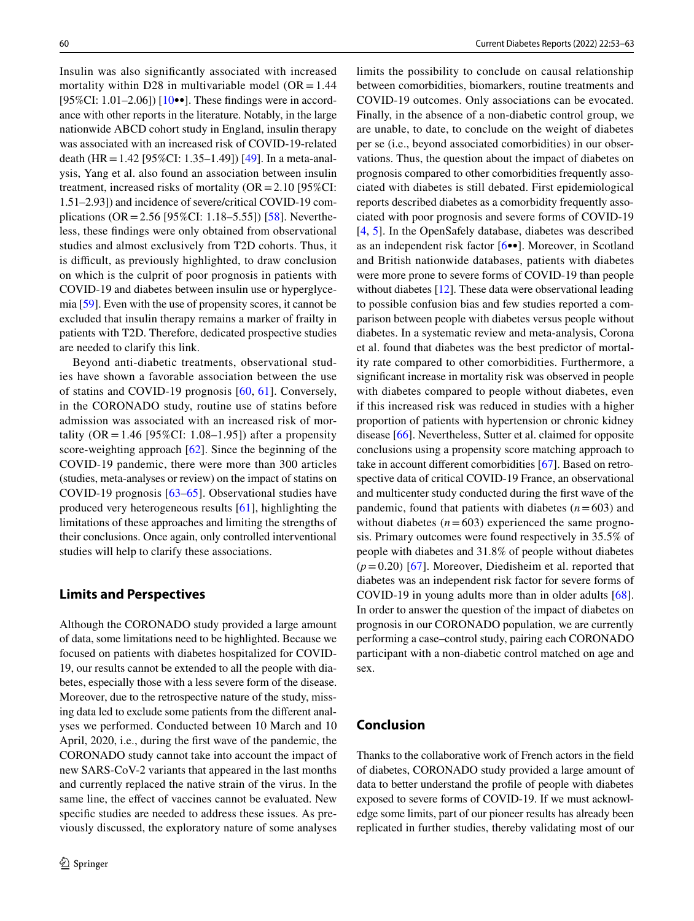Insulin was also signifcantly associated with increased mortality within D28 in multivariable model ( $OR = 1.44$ ) [95%CI: 1.01–2.06])  $[10\bullet\bullet]$  $[10\bullet\bullet]$ . These findings were in accordance with other reports in the literature. Notably, in the large nationwide ABCD cohort study in England, insulin therapy was associated with an increased risk of COVID-19-related death (HR=1.42 [95%CI: 1.35–1.49]) [\[49\]](#page-10-9). In a meta-analysis, Yang et al. also found an association between insulin treatment, increased risks of mortality  $(OR = 2.10 \, [95\% CI:$ 1.51–2.93]) and incidence of severe/critical COVID-19 complications ( $OR = 2.56$  [95%CI: 1.18–5.55]) [\[58](#page-10-17)]. Nevertheless, these fndings were only obtained from observational studies and almost exclusively from T2D cohorts. Thus, it is difficult, as previously highlighted, to draw conclusion on which is the culprit of poor prognosis in patients with COVID-19 and diabetes between insulin use or hyperglycemia [\[59](#page-10-18)]. Even with the use of propensity scores, it cannot be excluded that insulin therapy remains a marker of frailty in patients with T2D. Therefore, dedicated prospective studies are needed to clarify this link.

Beyond anti-diabetic treatments, observational studies have shown a favorable association between the use of statins and COVID-19 prognosis [[60,](#page-10-19) [61\]](#page-10-20). Conversely, in the CORONADO study, routine use of statins before admission was associated with an increased risk of mortality ( $OR = 1.46$  [95%CI: 1.08–1.95]) after a propensity score-weighting approach [\[62](#page-10-2)]. Since the beginning of the COVID-19 pandemic, there were more than 300 articles (studies, meta-analyses or review) on the impact of statins on COVID-19 prognosis [[63](#page-10-21)[–65](#page-10-22)]. Observational studies have produced very heterogeneous results [[61\]](#page-10-20), highlighting the limitations of these approaches and limiting the strengths of their conclusions. Once again, only controlled interventional studies will help to clarify these associations.

## **Limits and Perspectives**

Although the CORONADO study provided a large amount of data, some limitations need to be highlighted. Because we focused on patients with diabetes hospitalized for COVID-19, our results cannot be extended to all the people with diabetes, especially those with a less severe form of the disease. Moreover, due to the retrospective nature of the study, missing data led to exclude some patients from the diferent analyses we performed. Conducted between 10 March and 10 April, 2020, i.e., during the frst wave of the pandemic, the CORONADO study cannot take into account the impact of new SARS-CoV-2 variants that appeared in the last months and currently replaced the native strain of the virus. In the same line, the efect of vaccines cannot be evaluated. New specifc studies are needed to address these issues. As previously discussed, the exploratory nature of some analyses limits the possibility to conclude on causal relationship between comorbidities, biomarkers, routine treatments and COVID-19 outcomes. Only associations can be evocated. Finally, in the absence of a non-diabetic control group, we are unable, to date, to conclude on the weight of diabetes per se (i.e., beyond associated comorbidities) in our observations. Thus, the question about the impact of diabetes on prognosis compared to other comorbidities frequently associated with diabetes is still debated. First epidemiological reports described diabetes as a comorbidity frequently associated with poor prognosis and severe forms of COVID-19 [[4,](#page-8-3) [5](#page-8-4)]. In the OpenSafely database, diabetes was described as an independent risk factor [\[6•](#page-8-5)•]. Moreover, in Scotland and British nationwide databases, patients with diabetes were more prone to severe forms of COVID-19 than people without diabetes [\[12](#page-9-5)]. These data were observational leading to possible confusion bias and few studies reported a comparison between people with diabetes versus people without diabetes. In a systematic review and meta-analysis, Corona et al. found that diabetes was the best predictor of mortality rate compared to other comorbidities. Furthermore, a signifcant increase in mortality risk was observed in people with diabetes compared to people without diabetes, even if this increased risk was reduced in studies with a higher proportion of patients with hypertension or chronic kidney disease [[66\]](#page-10-23). Nevertheless, Sutter et al. claimed for opposite conclusions using a propensity score matching approach to take in account diferent comorbidities [\[67](#page-10-24)]. Based on retrospective data of critical COVID-19 France, an observational and multicenter study conducted during the frst wave of the pandemic, found that patients with diabetes  $(n=603)$  and without diabetes  $(n=603)$  experienced the same prognosis. Primary outcomes were found respectively in 35.5% of people with diabetes and 31.8% of people without diabetes  $(p=0.20)$  [[67\]](#page-10-24). Moreover, Diedisheim et al. reported that diabetes was an independent risk factor for severe forms of COVID-19 in young adults more than in older adults [\[68](#page-10-25)]. In order to answer the question of the impact of diabetes on prognosis in our CORONADO population, we are currently performing a case–control study, pairing each CORONADO participant with a non-diabetic control matched on age and sex.

# **Conclusion**

Thanks to the collaborative work of French actors in the feld of diabetes, CORONADO study provided a large amount of data to better understand the profle of people with diabetes exposed to severe forms of COVID-19. If we must acknowledge some limits, part of our pioneer results has already been replicated in further studies, thereby validating most of our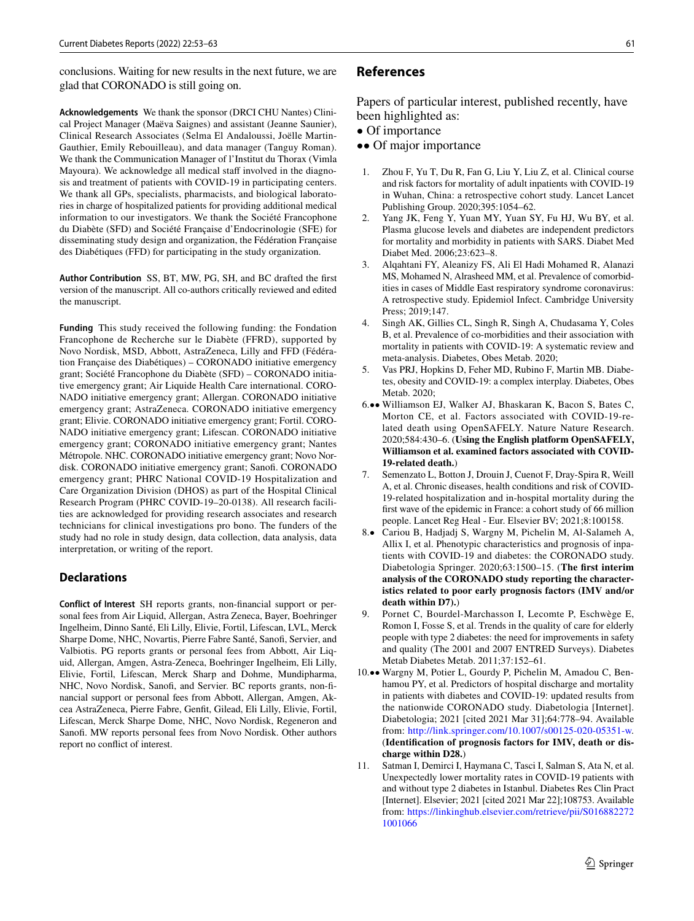conclusions. Waiting for new results in the next future, we are glad that CORONADO is still going on.

**Acknowledgements** We thank the sponsor (DRCI CHU Nantes) Clinical Project Manager (Maëva Saignes) and assistant (Jeanne Saunier), Clinical Research Associates (Selma El Andaloussi, Joëlle Martin-Gauthier, Emily Rebouilleau), and data manager (Tanguy Roman). We thank the Communication Manager of l'Institut du Thorax (Vimla Mayoura). We acknowledge all medical staff involved in the diagnosis and treatment of patients with COVID-19 in participating centers. We thank all GPs, specialists, pharmacists, and biological laboratories in charge of hospitalized patients for providing additional medical information to our investigators. We thank the Société Francophone du Diabète (SFD) and Société Française d'Endocrinologie (SFE) for disseminating study design and organization, the Fédération Française des Diabétiques (FFD) for participating in the study organization.

**Author Contribution** SS, BT, MW, PG, SH, and BC drafted the frst version of the manuscript. All co-authors critically reviewed and edited the manuscript.

**Funding** This study received the following funding: the Fondation Francophone de Recherche sur le Diabète (FFRD), supported by Novo Nordisk, MSD, Abbott, AstraZeneca, Lilly and FFD (Fédération Française des Diabétiques) – CORONADO initiative emergency grant; Société Francophone du Diabète (SFD) – CORONADO initiative emergency grant; Air Liquide Health Care international. CORO-NADO initiative emergency grant; Allergan. CORONADO initiative emergency grant; AstraZeneca. CORONADO initiative emergency grant; Elivie. CORONADO initiative emergency grant; Fortil. CORO-NADO initiative emergency grant; Lifescan. CORONADO initiative emergency grant; CORONADO initiative emergency grant; Nantes Métropole. NHC. CORONADO initiative emergency grant; Novo Nordisk. CORONADO initiative emergency grant; Sanof. CORONADO emergency grant; PHRC National COVID-19 Hospitalization and Care Organization Division (DHOS) as part of the Hospital Clinical Research Program (PHRC COVID-19–20-0138). All research facilities are acknowledged for providing research associates and research technicians for clinical investigations pro bono. The funders of the study had no role in study design, data collection, data analysis, data interpretation, or writing of the report.

## **Declarations**

**Conflict of Interest** SH reports grants, non-fnancial support or personal fees from Air Liquid, Allergan, Astra Zeneca, Bayer, Boehringer Ingelheim, Dinno Santé, Eli Lilly, Elivie, Fortil, Lifescan, LVL, Merck Sharpe Dome, NHC, Novartis, Pierre Fabre Santé, Sanof, Servier, and Valbiotis. PG reports grants or personal fees from Abbott, Air Liquid, Allergan, Amgen, Astra-Zeneca, Boehringer Ingelheim, Eli Lilly, Elivie, Fortil, Lifescan, Merck Sharp and Dohme, Mundipharma, NHC, Novo Nordisk, Sanof, and Servier. BC reports grants, non-fnancial support or personal fees from Abbott, Allergan, Amgen, Akcea AstraZeneca, Pierre Fabre, Genft, Gilead, Eli Lilly, Elivie, Fortil, Lifescan, Merck Sharpe Dome, NHC, Novo Nordisk, Regeneron and Sanof. MW reports personal fees from Novo Nordisk. Other authors report no confict of interest.

#### **References**

Papers of particular interest, published recently, have been highlighted as:

- Of importance
- •• Of major importance
- <span id="page-8-0"></span>1. Zhou F, Yu T, Du R, Fan G, Liu Y, Liu Z, et al. Clinical course and risk factors for mortality of adult inpatients with COVID-19 in Wuhan, China: a retrospective cohort study. Lancet Lancet Publishing Group. 2020;395:1054–62.
- <span id="page-8-1"></span>2. Yang JK, Feng Y, Yuan MY, Yuan SY, Fu HJ, Wu BY, et al. Plasma glucose levels and diabetes are independent predictors for mortality and morbidity in patients with SARS. Diabet Med Diabet Med. 2006;23:623–8.
- <span id="page-8-2"></span>3. Alqahtani FY, Aleanizy FS, Ali El Hadi Mohamed R, Alanazi MS, Mohamed N, Alrasheed MM, et al. Prevalence of comorbidities in cases of Middle East respiratory syndrome coronavirus: A retrospective study. Epidemiol Infect. Cambridge University Press; 2019;147.
- <span id="page-8-3"></span>4. Singh AK, Gillies CL, Singh R, Singh A, Chudasama Y, Coles B, et al. Prevalence of co-morbidities and their association with mortality in patients with COVID-19: A systematic review and meta-analysis. Diabetes, Obes Metab. 2020;
- <span id="page-8-4"></span>5. Vas PRJ, Hopkins D, Feher MD, Rubino F, Martin MB. Diabetes, obesity and COVID-19: a complex interplay. Diabetes, Obes Metab. 2020;
- <span id="page-8-5"></span>6.•• Williamson EJ, Walker AJ, Bhaskaran K, Bacon S, Bates C, Morton CE, et al. Factors associated with COVID-19-related death using OpenSAFELY. Nature Nature Research. 2020;584:430–6. (**Using the English platform OpenSAFELY, Williamson et al. examined factors associated with COVID-19-related death.**)
- <span id="page-8-6"></span>7. Semenzato L, Botton J, Drouin J, Cuenot F, Dray-Spira R, Weill A, et al. Chronic diseases, health conditions and risk of COVID-19-related hospitalization and in-hospital mortality during the frst wave of the epidemic in France: a cohort study of 66 million people. Lancet Reg Heal - Eur. Elsevier BV; 2021;8:100158.
- <span id="page-8-7"></span>8.• Cariou B, Hadjadj S, Wargny M, Pichelin M, Al-Salameh A, Allix I, et al. Phenotypic characteristics and prognosis of inpatients with COVID-19 and diabetes: the CORONADO study. Diabetologia Springer. 2020;63:1500–15. (**The frst interim analysis of the CORONADO study reporting the characteristics related to poor early prognosis factors (IMV and/or death within D7).**)
- <span id="page-8-9"></span>9. Pornet C, Bourdel-Marchasson I, Lecomte P, Eschwège E, Romon I, Fosse S, et al. Trends in the quality of care for elderly people with type 2 diabetes: the need for improvements in safety and quality (The 2001 and 2007 ENTRED Surveys). Diabetes Metab Diabetes Metab. 2011;37:152–61.
- <span id="page-8-8"></span>10.•• Wargny M, Potier L, Gourdy P, Pichelin M, Amadou C, Benhamou PY, et al. Predictors of hospital discharge and mortality in patients with diabetes and COVID-19: updated results from the nationwide CORONADO study. Diabetologia [Internet]. Diabetologia; 2021 [cited 2021 Mar 31];64:778–94. Available from: <http://link.springer.com/10.1007/s00125-020-05351-w>. (**Identifcation of prognosis factors for IMV, death or discharge within D28.**)
- <span id="page-8-10"></span>11. Satman I, Demirci I, Haymana C, Tasci I, Salman S, Ata N, et al. Unexpectedly lower mortality rates in COVID-19 patients with and without type 2 diabetes in Istanbul. Diabetes Res Clin Pract [Internet]. Elsevier; 2021 [cited 2021 Mar 22];108753. Available from: [https://linkinghub.elsevier.com/retrieve/pii/S016882272](https://linkinghub.elsevier.com/retrieve/pii/S0168822721001066) [1001066](https://linkinghub.elsevier.com/retrieve/pii/S0168822721001066)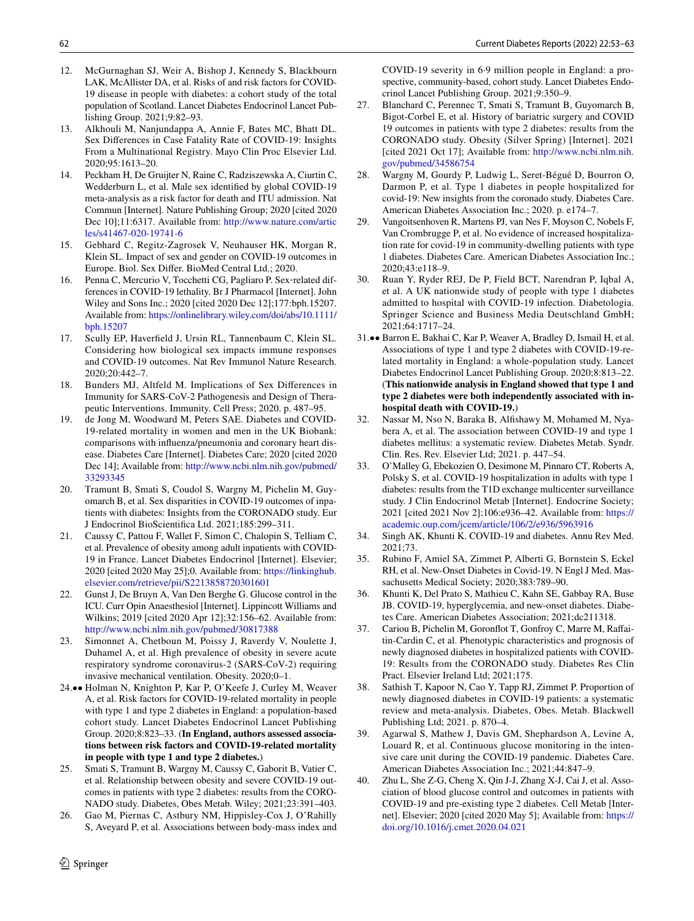- <span id="page-9-5"></span>12. McGurnaghan SJ, Weir A, Bishop J, Kennedy S, Blackbourn LAK, McAllister DA, et al. Risks of and risk factors for COVID-19 disease in people with diabetes: a cohort study of the total population of Scotland. Lancet Diabetes Endocrinol Lancet Publishing Group. 2021;9:82–93.
- <span id="page-9-6"></span>13. Alkhouli M, Nanjundappa A, Annie F, Bates MC, Bhatt DL. Sex Diferences in Case Fatality Rate of COVID-19: Insights From a Multinational Registry. Mayo Clin Proc Elsevier Ltd. 2020;95:1613–20.
- 14. Peckham H, De Gruijter N, Raine C, Radziszewska A, Ciurtin C, Wedderburn L, et al. Male sex identifed by global COVID-19 meta-analysis as a risk factor for death and ITU admission. Nat Commun [Internet]. Nature Publishing Group; 2020 [cited 2020 Dec 10];11:6317. Available from: [http://www.nature.com/artic](http://www.nature.com/articles/s41467-020-19741-6) [les/s41467-020-19741-6](http://www.nature.com/articles/s41467-020-19741-6)
- <span id="page-9-7"></span>15. Gebhard C, Regitz-Zagrosek V, Neuhauser HK, Morgan R, Klein SL. Impact of sex and gender on COVID-19 outcomes in Europe. Biol. Sex Difer. BioMed Central Ltd.; 2020.
- <span id="page-9-8"></span>16. Penna C, Mercurio V, Tocchetti CG, Pagliaro P. Sex-related differences in COVID‐19 lethality. Br J Pharmacol [Internet]. John Wiley and Sons Inc.; 2020 [cited 2020 Dec 12];177:bph.15207. Available from: [https://onlinelibrary.wiley.com/doi/abs/10.1111/](https://onlinelibrary.wiley.com/doi/abs/10.1111/bph.15207) [bph.15207](https://onlinelibrary.wiley.com/doi/abs/10.1111/bph.15207)
- <span id="page-9-9"></span>17. Scully EP, Haverfeld J, Ursin RL, Tannenbaum C, Klein SL. Considering how biological sex impacts immune responses and COVID-19 outcomes. Nat Rev Immunol Nature Research. 2020;20:442–7.
- <span id="page-9-10"></span>18. Bunders MJ, Altfeld M. Implications of Sex Diferences in Immunity for SARS-CoV-2 Pathogenesis and Design of Therapeutic Interventions. Immunity. Cell Press; 2020. p. 487–95.
- <span id="page-9-11"></span>19. de Jong M, Woodward M, Peters SAE. Diabetes and COVID-19-related mortality in women and men in the UK Biobank: comparisons with infuenza/pneumonia and coronary heart disease. Diabetes Care [Internet]. Diabetes Care; 2020 [cited 2020 Dec 14]; Available from: [http://www.ncbi.nlm.nih.gov/pubmed/](http://www.ncbi.nlm.nih.gov/pubmed/33293345) [33293345](http://www.ncbi.nlm.nih.gov/pubmed/33293345)
- <span id="page-9-0"></span>20. Tramunt B, Smati S, Coudol S, Wargny M, Pichelin M, Guyomarch B, et al. Sex disparities in COVID-19 outcomes of inpatients with diabetes: Insights from the CORONADO study. Eur J Endocrinol BioScientifca Ltd. 2021;185:299–311.
- <span id="page-9-12"></span>21. Caussy C, Pattou F, Wallet F, Simon C, Chalopin S, Telliam C, et al. Prevalence of obesity among adult inpatients with COVID-19 in France. Lancet Diabetes Endocrinol [Internet]. Elsevier; 2020 [cited 2020 May 25];0. Available from: [https://linkinghub.](https://linkinghub.elsevier.com/retrieve/pii/S2213858720301601) [elsevier.com/retrieve/pii/S2213858720301601](https://linkinghub.elsevier.com/retrieve/pii/S2213858720301601)
- 22. Gunst J, De Bruyn A, Van Den Berghe G. Glucose control in the ICU. Curr Opin Anaesthesiol [Internet]. Lippincott Williams and Wilkins; 2019 [cited 2020 Apr 12];32:156–62. Available from: <http://www.ncbi.nlm.nih.gov/pubmed/30817388>
- <span id="page-9-13"></span>23. Simonnet A, Chetboun M, Poissy J, Raverdy V, Noulette J, Duhamel A, et al. High prevalence of obesity in severe acute respiratory syndrome coronavirus-2 (SARS-CoV-2) requiring invasive mechanical ventilation. Obesity. 2020;0–1.
- <span id="page-9-14"></span>24.•• Holman N, Knighton P, Kar P, O'Keefe J, Curley M, Weaver A, et al. Risk factors for COVID-19-related mortality in people with type 1 and type 2 diabetes in England: a population-based cohort study. Lancet Diabetes Endocrinol Lancet Publishing Group. 2020;8:823–33. (**In England, authors assessed associations between risk factors and COVID-19-related mortality in people with type 1 and type 2 diabetes.**)
- <span id="page-9-3"></span>25. Smati S, Tramunt B, Wargny M, Caussy C, Gaborit B, Vatier C, et al. Relationship between obesity and severe COVID-19 outcomes in patients with type 2 diabetes: results from the CORO-NADO study. Diabetes, Obes Metab. Wiley; 2021;23:391–403.
- <span id="page-9-15"></span>26. Gao M, Piernas C, Astbury NM, Hippisley-Cox J, O'Rahilly S, Aveyard P, et al. Associations between body-mass index and

COVID-19 severity in 6·9 million people in England: a prospective, community-based, cohort study. Lancet Diabetes Endocrinol Lancet Publishing Group. 2021;9:350–9.

- <span id="page-9-4"></span>27. Blanchard C, Perennec T, Smati S, Tramunt B, Guyomarch B, Bigot-Corbel E, et al. History of bariatric surgery and COVID 19 outcomes in patients with type 2 diabetes: results from the CORONADO study. Obesity (Silver Spring) [Internet]. 2021 [cited 2021 Oct 17]; Available from: [http://www.ncbi.nlm.nih.](http://www.ncbi.nlm.nih.gov/pubmed/34586754) [gov/pubmed/34586754](http://www.ncbi.nlm.nih.gov/pubmed/34586754)
- <span id="page-9-1"></span>28. Wargny M, Gourdy P, Ludwig L, Seret-Bégué D, Bourron O, Darmon P, et al. Type 1 diabetes in people hospitalized for covid-19: New insights from the coronado study. Diabetes Care. American Diabetes Association Inc.; 2020. p. e174–7.
- <span id="page-9-16"></span>29. Vangoitsenhoven R, Martens PJ, van Nes F, Moyson C, Nobels F, Van Crombrugge P, et al. No evidence of increased hospitalization rate for covid-19 in community-dwelling patients with type 1 diabetes. Diabetes Care. American Diabetes Association Inc.; 2020;43:e118–9.
- <span id="page-9-17"></span>30. Ruan Y, Ryder REJ, De P, Field BCT, Narendran P, Iqbal A, et al. A UK nationwide study of people with type 1 diabetes admitted to hospital with COVID-19 infection. Diabetologia. Springer Science and Business Media Deutschland GmbH; 2021;64:1717–24.
- <span id="page-9-18"></span>31.•• Barron E, Bakhai C, Kar P, Weaver A, Bradley D, Ismail H, et al. Associations of type 1 and type 2 diabetes with COVID-19-related mortality in England: a whole-population study. Lancet Diabetes Endocrinol Lancet Publishing Group. 2020;8:813–22. (**This nationwide analysis in England showed that type 1 and type 2 diabetes were both independently associated with inhospital death with COVID-19.**)
- <span id="page-9-19"></span>32. Nassar M, Nso N, Baraka B, Alfshawy M, Mohamed M, Nyabera A, et al. The association between COVID-19 and type 1 diabetes mellitus: a systematic review. Diabetes Metab. Syndr. Clin. Res. Rev. Elsevier Ltd; 2021. p. 447–54.
- <span id="page-9-20"></span>33. O'Malley G, Ebekozien O, Desimone M, Pinnaro CT, Roberts A, Polsky S, et al. COVID-19 hospitalization in adults with type 1 diabetes: results from the T1D exchange multicenter surveillance study. J Clin Endocrinol Metab [Internet]. Endocrine Society; 2021 [cited 2021 Nov 2];106:e936–42. Available from: [https://](https://academic.oup.com/jcem/article/106/2/e936/5963916) [academic.oup.com/jcem/article/106/2/e936/5963916](https://academic.oup.com/jcem/article/106/2/e936/5963916)
- <span id="page-9-21"></span>34. Singh AK, Khunti K. COVID-19 and diabetes. Annu Rev Med. 2021;73.
- <span id="page-9-22"></span>35. Rubino F, Amiel SA, Zimmet P, Alberti G, Bornstein S, Eckel RH, et al. New-Onset Diabetes in Covid-19. N Engl J Med. Massachusetts Medical Society; 2020;383:789–90.
- <span id="page-9-23"></span>36. Khunti K, Del Prato S, Mathieu C, Kahn SE, Gabbay RA, Buse JB. COVID-19, hyperglycemia, and new-onset diabetes. Diabetes Care. American Diabetes Association; 2021;dc211318.
- <span id="page-9-2"></span>37. Cariou B, Pichelin M, Goronflot T, Gonfroy C, Marre M, Raffaitin-Cardin C, et al. Phenotypic characteristics and prognosis of newly diagnosed diabetes in hospitalized patients with COVID-19: Results from the CORONADO study. Diabetes Res Clin Pract. Elsevier Ireland Ltd; 2021;175.
- <span id="page-9-24"></span>38. Sathish T, Kapoor N, Cao Y, Tapp RJ, Zimmet P. Proportion of newly diagnosed diabetes in COVID-19 patients: a systematic review and meta-analysis. Diabetes, Obes. Metab. Blackwell Publishing Ltd; 2021. p. 870–4.
- <span id="page-9-25"></span>39. Agarwal S, Mathew J, Davis GM, Shephardson A, Levine A, Louard R, et al. Continuous glucose monitoring in the intensive care unit during the COVID-19 pandemic. Diabetes Care. American Diabetes Association Inc.; 2021;44:847–9.
- <span id="page-9-26"></span>40. Zhu L, She Z-G, Cheng X, Qin J-J, Zhang X-J, Cai J, et al. Association of blood glucose control and outcomes in patients with COVID-19 and pre-existing type 2 diabetes. Cell Metab [Internet]. Elsevier; 2020 [cited 2020 May 5]; Available from: [https://](https://doi.org/10.1016/j.cmet.2020.04.021) [doi.org/10.1016/j.cmet.2020.04.021](https://doi.org/10.1016/j.cmet.2020.04.021)